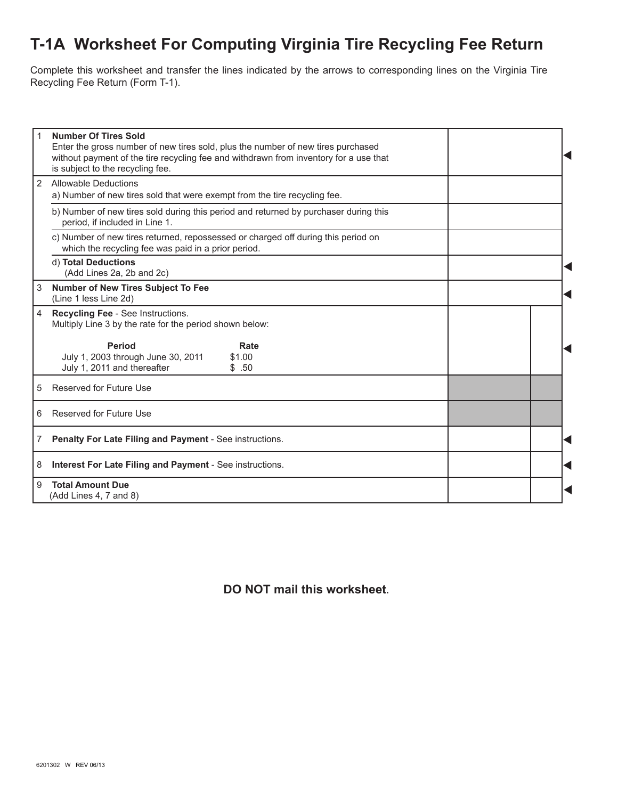## **T-1A Worksheet For Computing Virginia Tire Recycling Fee Return**

Complete this worksheet and transfer the lines indicated by the arrows to corresponding lines on the Virginia Tire Recycling Fee Return (Form T-1).

| 1 | <b>Number Of Tires Sold</b><br>Enter the gross number of new tires sold, plus the number of new tires purchased<br>without payment of the tire recycling fee and withdrawn from inventory for a use that<br>is subject to the recycling fee. |  |
|---|----------------------------------------------------------------------------------------------------------------------------------------------------------------------------------------------------------------------------------------------|--|
| 2 | Allowable Deductions<br>a) Number of new tires sold that were exempt from the tire recycling fee.                                                                                                                                            |  |
|   | b) Number of new tires sold during this period and returned by purchaser during this<br>period, if included in Line 1.                                                                                                                       |  |
|   | c) Number of new tires returned, repossessed or charged off during this period on<br>which the recycling fee was paid in a prior period.                                                                                                     |  |
|   | d) Total Deductions<br>(Add Lines 2a, 2b and 2c)                                                                                                                                                                                             |  |
| 3 | Number of New Tires Subject To Fee<br>(Line 1 less Line 2d)                                                                                                                                                                                  |  |
| 4 | Recycling Fee - See Instructions.<br>Multiply Line 3 by the rate for the period shown below:                                                                                                                                                 |  |
|   | <b>Period</b><br>Rate<br>July 1, 2003 through June 30, 2011<br>\$1.00<br>July 1, 2011 and thereafter<br>\$.50                                                                                                                                |  |
| 5 | Reserved for Future Use                                                                                                                                                                                                                      |  |
| 6 | <b>Reserved for Future Use</b>                                                                                                                                                                                                               |  |
| 7 | Penalty For Late Filing and Payment - See instructions.                                                                                                                                                                                      |  |
| 8 | Interest For Late Filing and Payment - See instructions.                                                                                                                                                                                     |  |
| 9 | <b>Total Amount Due</b><br>(Add Lines 4, 7 and 8)                                                                                                                                                                                            |  |

**DO NOT mail this worksheet.**